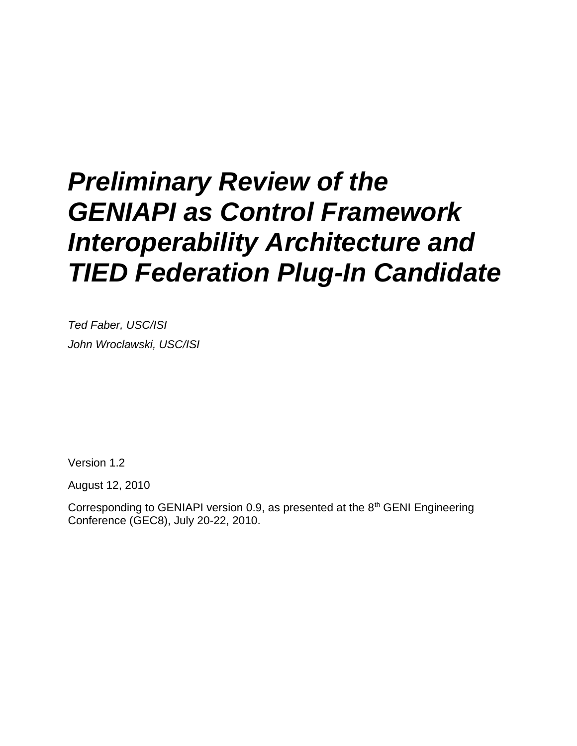# *Preliminary Review of the GENIAPI as Control Framework Interoperability Architecture and TIED Federation Plug-In Candidate*

*Ted Faber, USC/ISI John Wroclawski, USC/ISI*

Version 1.2

August 12, 2010

Corresponding to GENIAPI version 0.9, as presented at the  $8<sup>th</sup>$  GENI Engineering Conference (GEC8), July 20-22, 2010.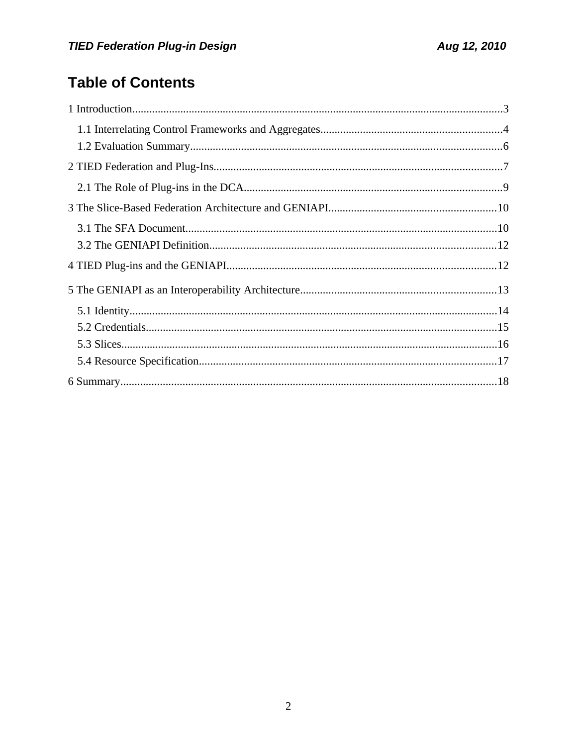# **Table of Contents**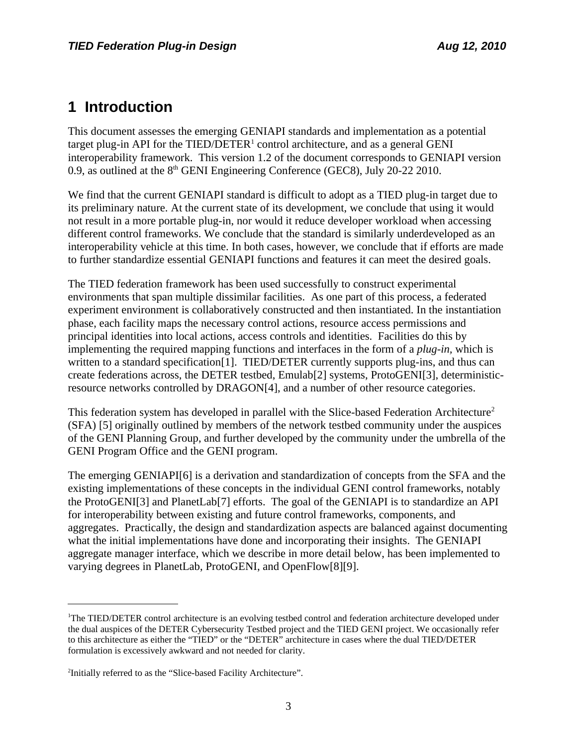# **1 Introduction**

This document assesses the emerging GENIAPI standards and implementation as a potential target plug-in API for the TIED/DETER<sup>[1](#page-2-0)</sup> control architecture, and as a general GENI interoperability framework. This version 1.2 of the document corresponds to GENIAPI version 0.9, as outlined at the  $8<sup>th</sup>$  GENI Engineering Conference (GEC8), July 20-22 2010.

We find that the current GENIAPI standard is difficult to adopt as a TIED plug-in target due to its preliminary nature. At the current state of its development, we conclude that using it would not result in a more portable plug-in, nor would it reduce developer workload when accessing different control frameworks. We conclude that the standard is similarly underdeveloped as an interoperability vehicle at this time. In both cases, however, we conclude that if efforts are made to further standardize essential GENIAPI functions and features it can meet the desired goals.

The TIED federation framework has been used successfully to construct experimental environments that span multiple dissimilar facilities. As one part of this process, a federated experiment environment is collaboratively constructed and then instantiated. In the instantiation phase, each facility maps the necessary control actions, resource access permissions and principal identities into local actions, access controls and identities. Facilities do this by implementing the required mapping functions and interfaces in the form of a *plug-in,* which is written to a standard specification<sup>[1]</sup>. TIED/DETER currently supports plug-ins, and thus can create federations across, the DETER testbed, Emula[b\[2\]](#page-18-8) systems, ProtoGEN[I\[3\],](#page-18-4) deterministicresource networks controlled by DRAGO[N\[4\],](#page-18-7) and a number of other resource categories.

This federation system has developed in parallel with the Slice-based Federation Architecture<sup>[2](#page-2-1)</sup> (SFA) [\[5\]](#page-18-6) originally outlined by members of the network testbed community under the auspices of the GENI Planning Group, and further developed by the community under the umbrella of the GENI Program Office and the GENI program.

The emerging GENIAP[I\[6\]](#page-18-5) is a derivation and standardization of concepts from the SFA and the existing implementations of these concepts in the individual GENI control frameworks, notably the ProtoGEN[I\[3\]](#page-18-4) and PlanetLa[b\[7\]](#page-18-3) efforts. The goal of the GENIAPI is to standardize an API for interoperability between existing and future control frameworks, components, and aggregates. Practically, the design and standardization aspects are balanced against documenting what the initial implementations have done and incorporating their insights. The GENIAPI aggregate manager interface, which we describe in more detail below, has been implemented to varying degrees in PlanetLab, ProtoGENI, and OpenFlo[w\[8\]](#page-18-2)[\[9\].](#page-18-1)

<span id="page-2-0"></span><sup>1</sup>The TIED/DETER control architecture is an evolving testbed control and federation architecture developed under the dual auspices of the DETER Cybersecurity Testbed project and the TIED GENI project. We occasionally refer to this architecture as either the "TIED" or the "DETER" architecture in cases where the dual TIED/DETER formulation is excessively awkward and not needed for clarity.

<span id="page-2-1"></span><sup>&</sup>lt;sup>2</sup>Initially referred to as the "Slice-based Facility Architecture".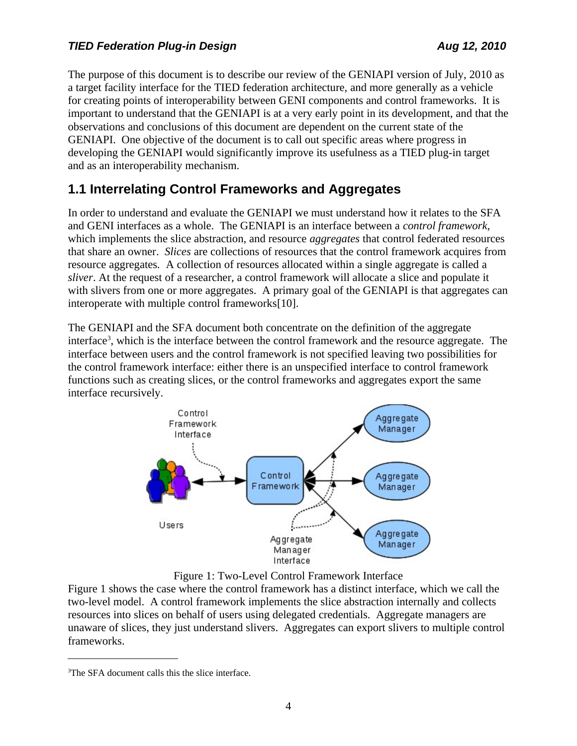The purpose of this document is to describe our review of the GENIAPI version of July, 2010 as a target facility interface for the TIED federation architecture, and more generally as a vehicle for creating points of interoperability between GENI components and control frameworks. It is important to understand that the GENIAPI is at a very early point in its development, and that the observations and conclusions of this document are dependent on the current state of the GENIAPI. One objective of the document is to call out specific areas where progress in developing the GENIAPI would significantly improve its usefulness as a TIED plug-in target and as an interoperability mechanism.

## **1.1 Interrelating Control Frameworks and Aggregates**

In order to understand and evaluate the GENIAPI we must understand how it relates to the SFA and GENI interfaces as a whole. The GENIAPI is an interface between a *control framework*, which implements the slice abstraction, and resource *aggregates* that control federated resources that share an owner. *Slices* are collections of resources that the control framework acquires from resource aggregates*.* A collection of resources allocated within a single aggregate is called a *sliver*. At the request of a researcher, a control framework will allocate a slice and populate it with slivers from one or more aggregates. A primary goal of the GENIAPI is that aggregates can interoperate with multiple control framework[s\[10\].](#page-18-9)

The GENIAPI and the SFA document both concentrate on the definition of the aggregate interface<sup>[3](#page-3-1)</sup>, which is the interface between the control framework and the resource aggregate. The interface between users and the control framework is not specified leaving two possibilities for the control framework interface: either there is an unspecified interface to control framework functions such as creating slices, or the control frameworks and aggregates export the same interface recursively.



<span id="page-3-0"></span>Figure 1: Two-Level Control Framework Interface

[Figure 1](#page-3-0) shows the case where the control framework has a distinct interface, which we call the two-level model. A control framework implements the slice abstraction internally and collects resources into slices on behalf of users using delegated credentials. Aggregate managers are unaware of slices, they just understand slivers. Aggregates can export slivers to multiple control frameworks.

<span id="page-3-1"></span><sup>&</sup>lt;sup>3</sup>The SFA document calls this the slice interface.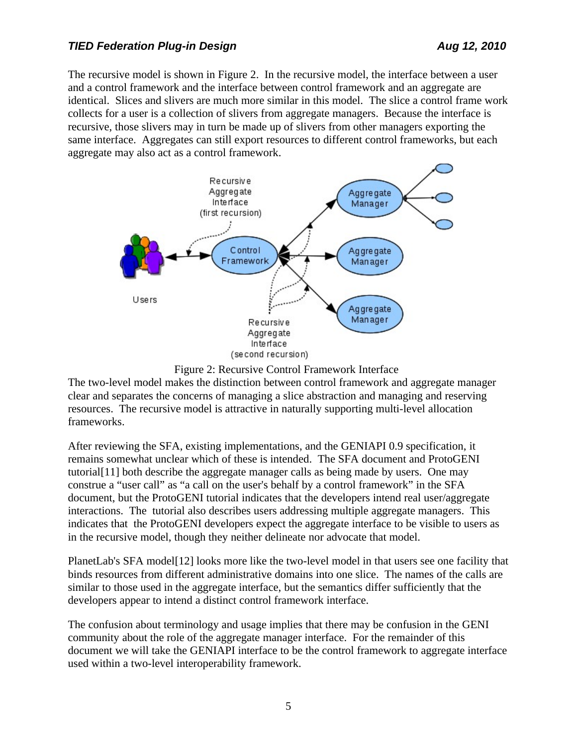The recursive model is shown in [Figure 2.](#page-4-0) In the recursive model, the interface between a user and a control framework and the interface between control framework and an aggregate are identical. Slices and slivers are much more similar in this model. The slice a control frame work collects for a user is a collection of slivers from aggregate managers. Because the interface is recursive, those slivers may in turn be made up of slivers from other managers exporting the same interface. Aggregates can still export resources to different control frameworks, but each aggregate may also act as a control framework.



<span id="page-4-0"></span>Figure 2: Recursive Control Framework Interface

The two-level model makes the distinction between control framework and aggregate manager clear and separates the concerns of managing a slice abstraction and managing and reserving resources. The recursive model is attractive in naturally supporting multi-level allocation frameworks.

After reviewing the SFA, existing implementations, and the GENIAPI 0.9 specification, it remains somewhat unclear which of these is intended. The SFA document and ProtoGENI tutoria[l\[11\]](#page-18-11) both describe the aggregate manager calls as being made by users. One may construe a "user call" as "a call on the user's behalf by a control framework" in the SFA document, but the ProtoGENI tutorial indicates that the developers intend real user/aggregate interactions. The tutorial also describes users addressing multiple aggregate managers. This indicates that the ProtoGENI developers expect the aggregate interface to be visible to users as in the recursive model, though they neither delineate nor advocate that model.

PlanetLab's SFA mode[l\[12\]](#page-18-10) looks more like the two-level model in that users see one facility that binds resources from different administrative domains into one slice. The names of the calls are similar to those used in the aggregate interface, but the semantics differ sufficiently that the developers appear to intend a distinct control framework interface.

The confusion about terminology and usage implies that there may be confusion in the GENI community about the role of the aggregate manager interface. For the remainder of this document we will take the GENIAPI interface to be the control framework to aggregate interface used within a two-level interoperability framework.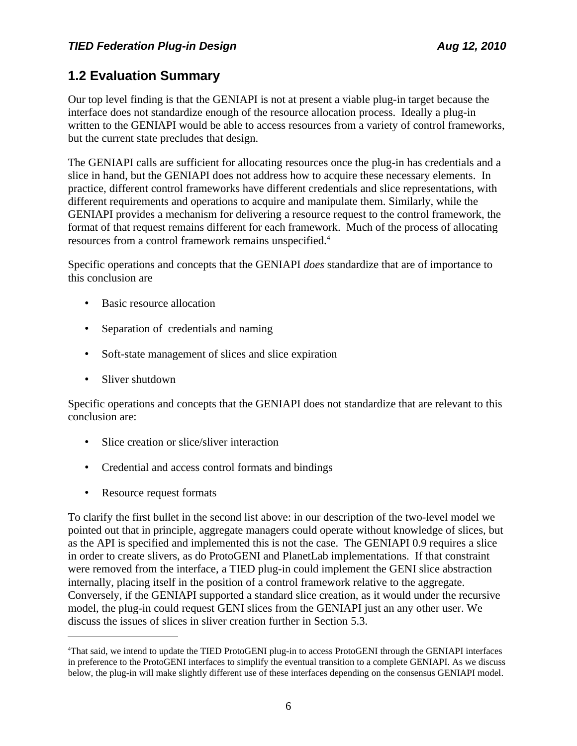## **1.2 Evaluation Summary**

Our top level finding is that the GENIAPI is not at present a viable plug-in target because the interface does not standardize enough of the resource allocation process. Ideally a plug-in written to the GENIAPI would be able to access resources from a variety of control frameworks, but the current state precludes that design.

The GENIAPI calls are sufficient for allocating resources once the plug-in has credentials and a slice in hand, but the GENIAPI does not address how to acquire these necessary elements. In practice, different control frameworks have different credentials and slice representations, with different requirements and operations to acquire and manipulate them. Similarly, while the GENIAPI provides a mechanism for delivering a resource request to the control framework, the format of that request remains different for each framework. Much of the process of allocating resources from a control framework remains unspecified.[4](#page-5-0)

Specific operations and concepts that the GENIAPI *does* standardize that are of importance to this conclusion are

- Basic resource allocation
- Separation of credentials and naming
- Soft-state management of slices and slice expiration
- Sliver shutdown

Specific operations and concepts that the GENIAPI does not standardize that are relevant to this conclusion are:

- Slice creation or slice/sliver interaction
- Credential and access control formats and bindings
- Resource request formats

To clarify the first bullet in the second list above: in our description of the two-level model we pointed out that in principle, aggregate managers could operate without knowledge of slices, but as the API is specified and implemented this is not the case. The GENIAPI 0.9 requires a slice in order to create slivers, as do ProtoGENI and PlanetLab implementations. If that constraint were removed from the interface, a TIED plug-in could implement the GENI slice abstraction internally, placing itself in the position of a control framework relative to the aggregate. Conversely, if the GENIAPI supported a standard slice creation, as it would under the recursive model, the plug-in could request GENI slices from the GENIAPI just an any other user. We discuss the issues of slices in sliver creation further in Section [5.3.](#page-15-0)

<span id="page-5-0"></span><sup>4</sup>That said, we intend to update the TIED ProtoGENI plug-in to access ProtoGENI through the GENIAPI interfaces in preference to the ProtoGENI interfaces to simplify the eventual transition to a complete GENIAPI. As we discuss below, the plug-in will make slightly different use of these interfaces depending on the consensus GENIAPI model.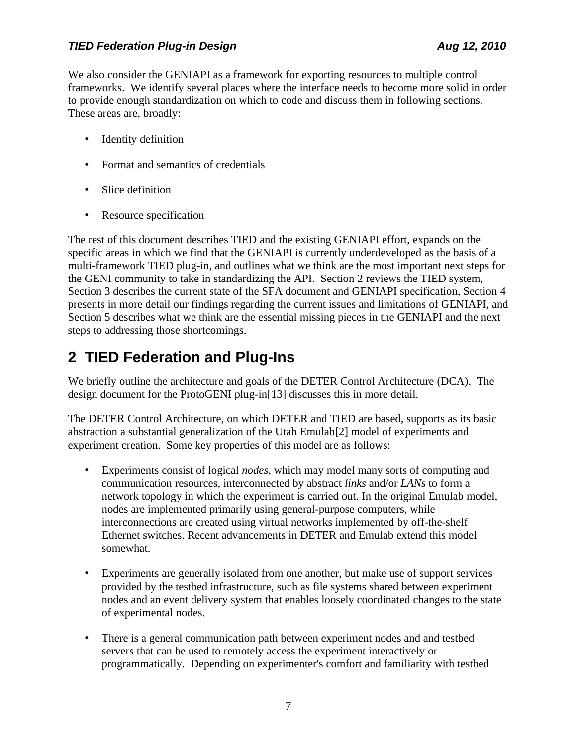We also consider the GENIAPI as a framework for exporting resources to multiple control frameworks. We identify several places where the interface needs to become more solid in order to provide enough standardization on which to code and discuss them in following sections. These areas are, broadly:

- Identity definition
- Format and semantics of credentials
- Slice definition
- Resource specification

The rest of this document describes TIED and the existing GENIAPI effort, expands on the specific areas in which we find that the GENIAPI is currently underdeveloped as the basis of a multi-framework TIED plug-in, and outlines what we think are the most important next steps for the GENI community to take in standardizing the API. Section [2](#page-6-0) reviews the TIED system, Section [3](#page-9-0) describes the current state of the SFA document and GENIAPI specification, Section [4](#page-11-0) presents in more detail our findings regarding the current issues and limitations of GENIAPI, and Section [5](#page-12-0) describes what we think are the essential missing pieces in the GENIAPI and the next steps to addressing those shortcomings.

# <span id="page-6-0"></span>**2 TIED Federation and Plug-Ins**

We briefly outline the architecture and goals of the DETER Control Architecture (DCA). The design document for the ProtoGENI plug-i[n\[13\]](#page-18-12) discusses this in more detail.

The DETER Control Architecture, on which DETER and TIED are based, supports as its basic abstraction a substantial generalization of the Utah Emula[b\[2\]](#page-18-8) model of experiments and experiment creation. Some key properties of this model are as follows:

- Experiments consist of logical *nodes*, which may model many sorts of computing and communication resources, interconnected by abstract *links* and/or *LANs* to form a network topology in which the experiment is carried out. In the original Emulab model, nodes are implemented primarily using general-purpose computers, while interconnections are created using virtual networks implemented by off-the-shelf Ethernet switches. Recent advancements in DETER and Emulab extend this model somewhat.
- Experiments are generally isolated from one another, but make use of support services provided by the testbed infrastructure, such as file systems shared between experiment nodes and an event delivery system that enables loosely coordinated changes to the state of experimental nodes.
- There is a general communication path between experiment nodes and and testbed servers that can be used to remotely access the experiment interactively or programmatically. Depending on experimenter's comfort and familiarity with testbed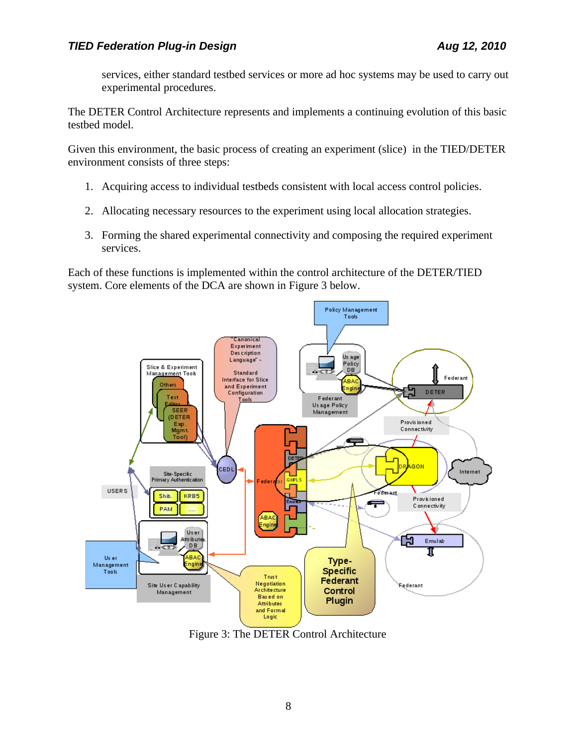services, either standard testbed services or more ad hoc systems may be used to carry out experimental procedures.

The DETER Control Architecture represents and implements a continuing evolution of this basic testbed model.

Given this environment, the basic process of creating an experiment (slice) in the TIED/DETER environment consists of three steps:

- 1. Acquiring access to individual testbeds consistent with local access control policies.
- 2. Allocating necessary resources to the experiment using local allocation strategies.
- 3. Forming the shared experimental connectivity and composing the required experiment services.

Each of these functions is implemented within the control architecture of the DETER/TIED system. Core elements of the DCA are shown in [Figure 3](#page-7-0) below.



<span id="page-7-0"></span>Figure 3: The DETER Control Architecture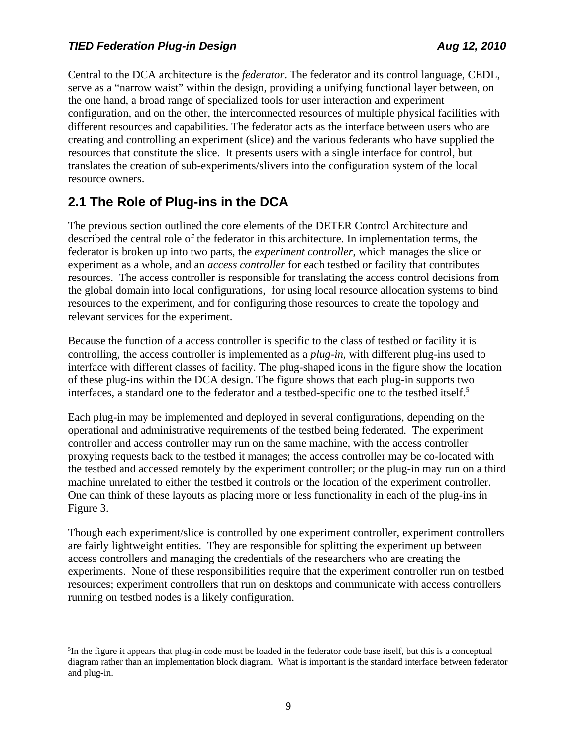Central to the DCA architecture is the *federator*. The federator and its control language, CEDL, serve as a "narrow waist" within the design, providing a unifying functional layer between, on the one hand, a broad range of specialized tools for user interaction and experiment configuration, and on the other, the interconnected resources of multiple physical facilities with different resources and capabilities. The federator acts as the interface between users who are creating and controlling an experiment (slice) and the various federants who have supplied the resources that constitute the slice. It presents users with a single interface for control, but translates the creation of sub-experiments/slivers into the configuration system of the local resource owners.

## **2.1 The Role of Plug-ins in the DCA**

The previous section outlined the core elements of the DETER Control Architecture and described the central role of the federator in this architecture*.* In implementation terms, the federator is broken up into two parts, the *experiment controller*, which manages the slice or experiment as a whole, and an *access controller* for each testbed or facility that contributes resources. The access controller is responsible for translating the access control decisions from the global domain into local configurations, for using local resource allocation systems to bind resources to the experiment, and for configuring those resources to create the topology and relevant services for the experiment.

Because the function of a access controller is specific to the class of testbed or facility it is controlling, the access controller is implemented as a *plug-in,* with different plug-ins used to interface with different classes of facility. The plug-shaped icons in the figure show the location of these plug-ins within the DCA design. The figure shows that each plug-in supports two interfaces, a standard one to the federator and a testbed-specific one to the testbed itself.<sup>[5](#page-8-0)</sup>

Each plug-in may be implemented and deployed in several configurations, depending on the operational and administrative requirements of the testbed being federated. The experiment controller and access controller may run on the same machine, with the access controller proxying requests back to the testbed it manages; the access controller may be co-located with the testbed and accessed remotely by the experiment controller; or the plug-in may run on a third machine unrelated to either the testbed it controls or the location of the experiment controller. One can think of these layouts as placing more or less functionality in each of the plug-ins in [Figure 3.](#page-7-0)

Though each experiment/slice is controlled by one experiment controller, experiment controllers are fairly lightweight entities. They are responsible for splitting the experiment up between access controllers and managing the credentials of the researchers who are creating the experiments. None of these responsibilities require that the experiment controller run on testbed resources; experiment controllers that run on desktops and communicate with access controllers running on testbed nodes is a likely configuration.

<span id="page-8-0"></span><sup>&</sup>lt;sup>5</sup>In the figure it appears that plug-in code must be loaded in the federator code base itself, but this is a conceptual diagram rather than an implementation block diagram. What is important is the standard interface between federator and plug-in.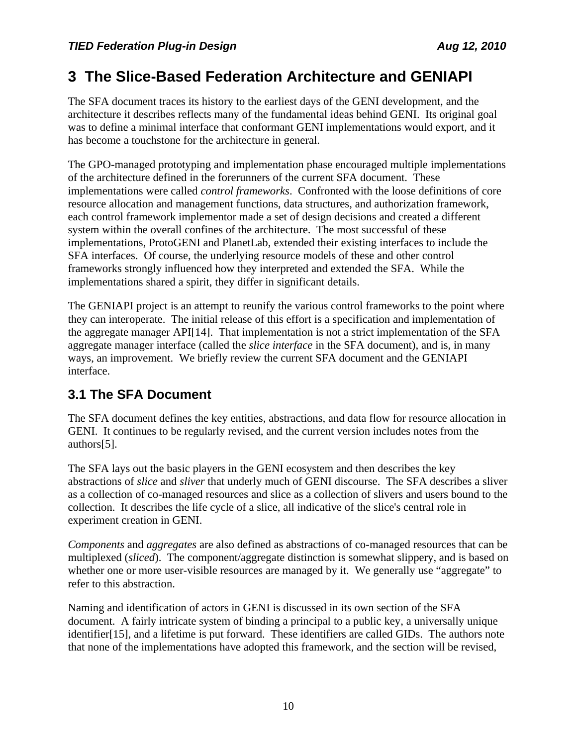# <span id="page-9-0"></span>**3 The Slice-Based Federation Architecture and GENIAPI**

The SFA document traces its history to the earliest days of the GENI development, and the architecture it describes reflects many of the fundamental ideas behind GENI. Its original goal was to define a minimal interface that conformant GENI implementations would export, and it has become a touchstone for the architecture in general.

The GPO-managed prototyping and implementation phase encouraged multiple implementations of the architecture defined in the forerunners of the current SFA document. These implementations were called *control frameworks*. Confronted with the loose definitions of core resource allocation and management functions, data structures, and authorization framework, each control framework implementor made a set of design decisions and created a different system within the overall confines of the architecture. The most successful of these implementations, ProtoGENI and PlanetLab, extended their existing interfaces to include the SFA interfaces. Of course, the underlying resource models of these and other control frameworks strongly influenced how they interpreted and extended the SFA. While the implementations shared a spirit, they differ in significant details.

The GENIAPI project is an attempt to reunify the various control frameworks to the point where they can interoperate. The initial release of this effort is a specification and implementation of the aggregate manager AP[I\[14\].](#page-18-14) That implementation is not a strict implementation of the SFA aggregate manager interface (called the *slice interface* in the SFA document), and is, in many ways, an improvement. We briefly review the current SFA document and the GENIAPI interface.

## **3.1 The SFA Document**

The SFA document defines the key entities, abstractions, and data flow for resource allocation in GENI. It continues to be regularly revised, and the current version includes notes from the author[s\[5\].](#page-18-6)

The SFA lays out the basic players in the GENI ecosystem and then describes the key abstractions of *slice* and *sliver* that underly much of GENI discourse. The SFA describes a sliver as a collection of co-managed resources and slice as a collection of slivers and users bound to the collection. It describes the life cycle of a slice, all indicative of the slice's central role in experiment creation in GENI.

*Components* and *aggregates* are also defined as abstractions of co-managed resources that can be multiplexed (*sliced*). The component/aggregate distinction is somewhat slippery, and is based on whether one or more user-visible resources are managed by it. We generally use "aggregate" to refer to this abstraction.

Naming and identification of actors in GENI is discussed in its own section of the SFA document. A fairly intricate system of binding a principal to a public key, a universally unique identifie[r\[15\],](#page-18-13) and a lifetime is put forward. These identifiers are called GIDs. The authors note that none of the implementations have adopted this framework, and the section will be revised,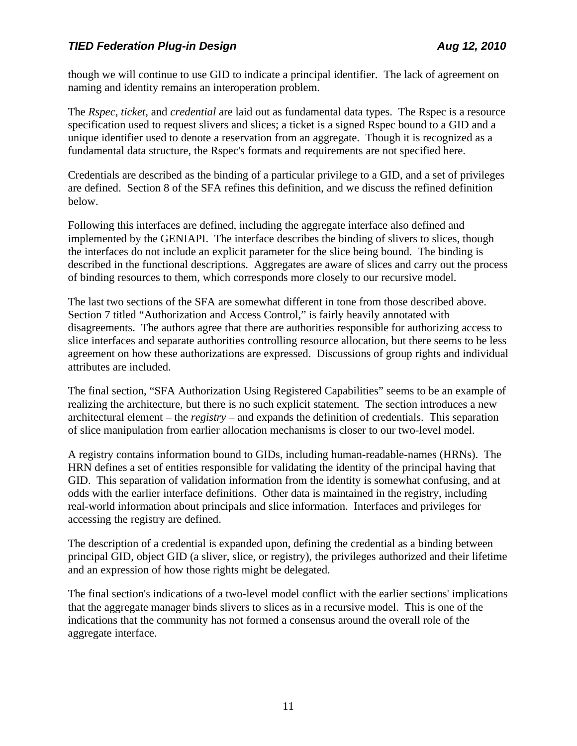though we will continue to use GID to indicate a principal identifier. The lack of agreement on naming and identity remains an interoperation problem.

The *Rspec*, *ticket*, and *credential* are laid out as fundamental data types. The Rspec is a resource specification used to request slivers and slices; a ticket is a signed Rspec bound to a GID and a unique identifier used to denote a reservation from an aggregate. Though it is recognized as a fundamental data structure, the Rspec's formats and requirements are not specified here.

Credentials are described as the binding of a particular privilege to a GID, and a set of privileges are defined. Section 8 of the SFA refines this definition, and we discuss the refined definition below.

Following this interfaces are defined, including the aggregate interface also defined and implemented by the GENIAPI. The interface describes the binding of slivers to slices, though the interfaces do not include an explicit parameter for the slice being bound. The binding is described in the functional descriptions. Aggregates are aware of slices and carry out the process of binding resources to them, which corresponds more closely to our recursive model.

The last two sections of the SFA are somewhat different in tone from those described above. Section 7 titled "Authorization and Access Control," is fairly heavily annotated with disagreements. The authors agree that there are authorities responsible for authorizing access to slice interfaces and separate authorities controlling resource allocation, but there seems to be less agreement on how these authorizations are expressed. Discussions of group rights and individual attributes are included.

The final section, "SFA Authorization Using Registered Capabilities" seems to be an example of realizing the architecture, but there is no such explicit statement. The section introduces a new architectural element – the *registry* – and expands the definition of credentials. This separation of slice manipulation from earlier allocation mechanisms is closer to our two-level model.

A registry contains information bound to GIDs, including human-readable-names (HRNs). The HRN defines a set of entities responsible for validating the identity of the principal having that GID. This separation of validation information from the identity is somewhat confusing, and at odds with the earlier interface definitions. Other data is maintained in the registry, including real-world information about principals and slice information. Interfaces and privileges for accessing the registry are defined.

The description of a credential is expanded upon, defining the credential as a binding between principal GID, object GID (a sliver, slice, or registry), the privileges authorized and their lifetime and an expression of how those rights might be delegated.

The final section's indications of a two-level model conflict with the earlier sections' implications that the aggregate manager binds slivers to slices as in a recursive model. This is one of the indications that the community has not formed a consensus around the overall role of the aggregate interface.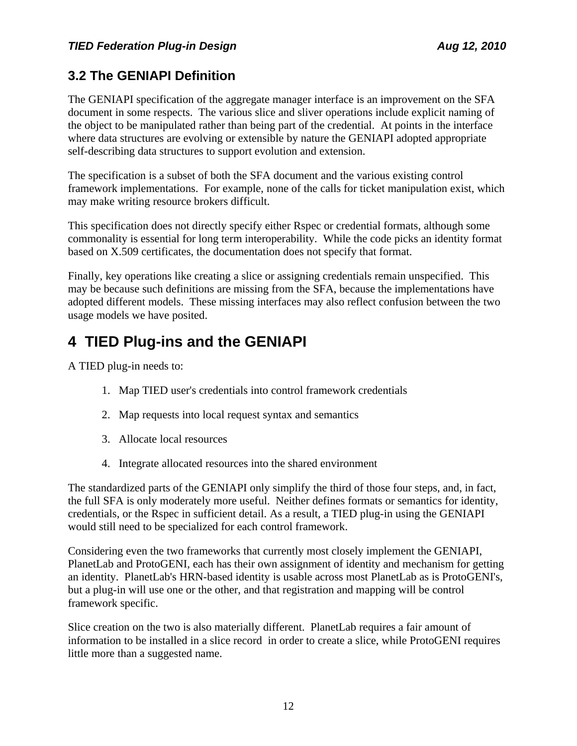# **3.2 The GENIAPI Definition**

The GENIAPI specification of the aggregate manager interface is an improvement on the SFA document in some respects. The various slice and sliver operations include explicit naming of the object to be manipulated rather than being part of the credential. At points in the interface where data structures are evolving or extensible by nature the GENIAPI adopted appropriate self-describing data structures to support evolution and extension.

The specification is a subset of both the SFA document and the various existing control framework implementations. For example, none of the calls for ticket manipulation exist, which may make writing resource brokers difficult.

This specification does not directly specify either Rspec or credential formats, although some commonality is essential for long term interoperability. While the code picks an identity format based on X.509 certificates, the documentation does not specify that format.

Finally, key operations like creating a slice or assigning credentials remain unspecified. This may be because such definitions are missing from the SFA, because the implementations have adopted different models. These missing interfaces may also reflect confusion between the two usage models we have posited.

# <span id="page-11-0"></span>**4 TIED Plug-ins and the GENIAPI**

A TIED plug-in needs to:

- 1. Map TIED user's credentials into control framework credentials
- 2. Map requests into local request syntax and semantics
- 3. Allocate local resources
- 4. Integrate allocated resources into the shared environment

The standardized parts of the GENIAPI only simplify the third of those four steps, and, in fact, the full SFA is only moderately more useful. Neither defines formats or semantics for identity, credentials, or the Rspec in sufficient detail. As a result, a TIED plug-in using the GENIAPI would still need to be specialized for each control framework.

Considering even the two frameworks that currently most closely implement the GENIAPI, PlanetLab and ProtoGENI, each has their own assignment of identity and mechanism for getting an identity. PlanetLab's HRN-based identity is usable across most PlanetLab as is ProtoGENI's, but a plug-in will use one or the other, and that registration and mapping will be control framework specific.

Slice creation on the two is also materially different. PlanetLab requires a fair amount of information to be installed in a slice record in order to create a slice, while ProtoGENI requires little more than a suggested name.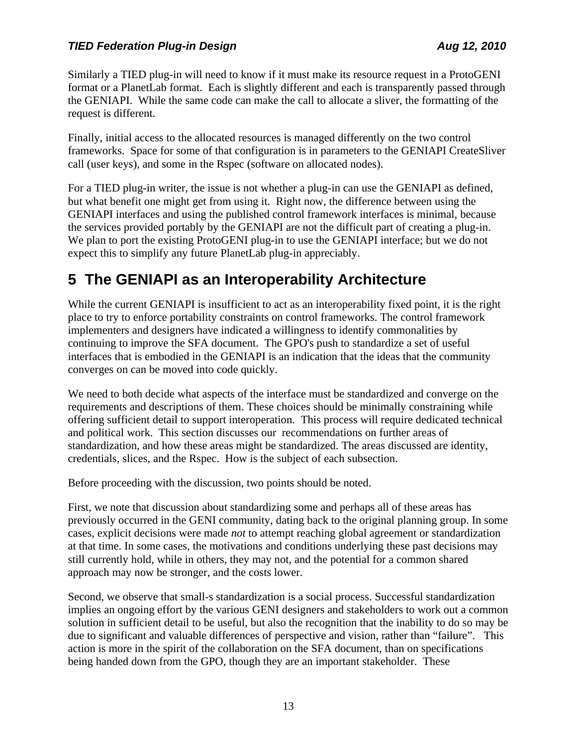Similarly a TIED plug-in will need to know if it must make its resource request in a ProtoGENI format or a PlanetLab format. Each is slightly different and each is transparently passed through the GENIAPI. While the same code can make the call to allocate a sliver, the formatting of the request is different.

Finally, initial access to the allocated resources is managed differently on the two control frameworks. Space for some of that configuration is in parameters to the GENIAPI CreateSliver call (user keys), and some in the Rspec (software on allocated nodes).

For a TIED plug-in writer, the issue is not whether a plug-in can use the GENIAPI as defined, but what benefit one might get from using it. Right now, the difference between using the GENIAPI interfaces and using the published control framework interfaces is minimal, because the services provided portably by the GENIAPI are not the difficult part of creating a plug-in. We plan to port the existing ProtoGENI plug-in to use the GENIAPI interface; but we do not expect this to simplify any future PlanetLab plug-in appreciably.

# <span id="page-12-0"></span>**5 The GENIAPI as an Interoperability Architecture**

While the current GENIAPI is insufficient to act as an interoperability fixed point, it is the right place to try to enforce portability constraints on control frameworks. The control framework implementers and designers have indicated a willingness to identify commonalities by continuing to improve the SFA document. The GPO's push to standardize a set of useful interfaces that is embodied in the GENIAPI is an indication that the ideas that the community converges on can be moved into code quickly.

We need to both decide what aspects of the interface must be standardized and converge on the requirements and descriptions of them. These choices should be minimally constraining while offering sufficient detail to support interoperation. This process will require dedicated technical and political work. This section discusses our recommendations on further areas of standardization, and how these areas might be standardized. The areas discussed are identity, credentials, slices, and the Rspec. How is the subject of each subsection.

Before proceeding with the discussion, two points should be noted.

First, we note that discussion about standardizing some and perhaps all of these areas has previously occurred in the GENI community, dating back to the original planning group. In some cases, explicit decisions were made *not* to attempt reaching global agreement or standardization at that time. In some cases, the motivations and conditions underlying these past decisions may still currently hold, while in others, they may not, and the potential for a common shared approach may now be stronger, and the costs lower.

Second, we observe that small-s standardization is a social process. Successful standardization implies an ongoing effort by the various GENI designers and stakeholders to work out a common solution in sufficient detail to be useful, but also the recognition that the inability to do so may be due to significant and valuable differences of perspective and vision, rather than "failure". This action is more in the spirit of the collaboration on the SFA document, than on specifications being handed down from the GPO, though they are an important stakeholder. These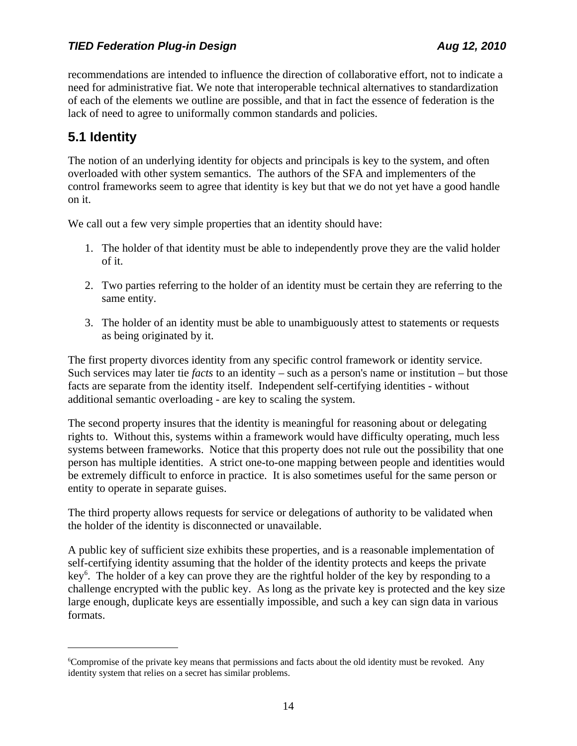recommendations are intended to influence the direction of collaborative effort, not to indicate a need for administrative fiat. We note that interoperable technical alternatives to standardization of each of the elements we outline are possible, and that in fact the essence of federation is the lack of need to agree to uniformally common standards and policies.

### **5.1 Identity**

The notion of an underlying identity for objects and principals is key to the system, and often overloaded with other system semantics. The authors of the SFA and implementers of the control frameworks seem to agree that identity is key but that we do not yet have a good handle on it.

We call out a few very simple properties that an identity should have:

- 1. The holder of that identity must be able to independently prove they are the valid holder of it.
- 2. Two parties referring to the holder of an identity must be certain they are referring to the same entity.
- 3. The holder of an identity must be able to unambiguously attest to statements or requests as being originated by it.

The first property divorces identity from any specific control framework or identity service. Such services may later tie *facts* to an identity – such as a person's name or institution – but those facts are separate from the identity itself. Independent self-certifying identities - without additional semantic overloading - are key to scaling the system.

The second property insures that the identity is meaningful for reasoning about or delegating rights to. Without this, systems within a framework would have difficulty operating, much less systems between frameworks. Notice that this property does not rule out the possibility that one person has multiple identities. A strict one-to-one mapping between people and identities would be extremely difficult to enforce in practice. It is also sometimes useful for the same person or entity to operate in separate guises.

The third property allows requests for service or delegations of authority to be validated when the holder of the identity is disconnected or unavailable.

A public key of sufficient size exhibits these properties, and is a reasonable implementation of self-certifying identity assuming that the holder of the identity protects and keeps the private key<sup>[6](#page-13-0)</sup>. The holder of a key can prove they are the rightful holder of the key by responding to a challenge encrypted with the public key. As long as the private key is protected and the key size large enough, duplicate keys are essentially impossible, and such a key can sign data in various formats.

<span id="page-13-0"></span><sup>&</sup>lt;sup>6</sup>Compromise of the private key means that permissions and facts about the old identity must be revoked. Any identity system that relies on a secret has similar problems.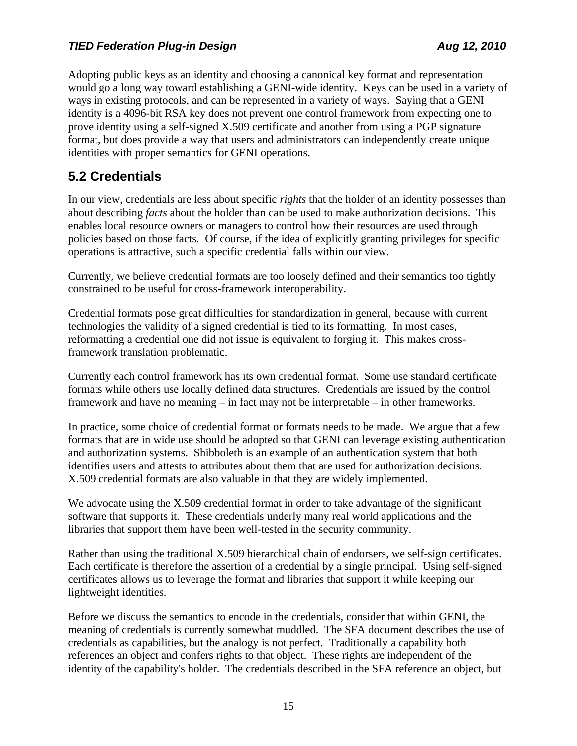Adopting public keys as an identity and choosing a canonical key format and representation would go a long way toward establishing a GENI-wide identity. Keys can be used in a variety of ways in existing protocols, and can be represented in a variety of ways. Saying that a GENI identity is a 4096-bit RSA key does not prevent one control framework from expecting one to prove identity using a self-signed X.509 certificate and another from using a PGP signature format, but does provide a way that users and administrators can independently create unique identities with proper semantics for GENI operations.

### **5.2 Credentials**

In our view, credentials are less about specific *rights* that the holder of an identity possesses than about describing *facts* about the holder than can be used to make authorization decisions. This enables local resource owners or managers to control how their resources are used through policies based on those facts. Of course, if the idea of explicitly granting privileges for specific operations is attractive, such a specific credential falls within our view.

Currently, we believe credential formats are too loosely defined and their semantics too tightly constrained to be useful for cross-framework interoperability.

Credential formats pose great difficulties for standardization in general, because with current technologies the validity of a signed credential is tied to its formatting. In most cases, reformatting a credential one did not issue is equivalent to forging it. This makes crossframework translation problematic.

Currently each control framework has its own credential format. Some use standard certificate formats while others use locally defined data structures. Credentials are issued by the control framework and have no meaning – in fact may not be interpretable – in other frameworks.

In practice, some choice of credential format or formats needs to be made. We argue that a few formats that are in wide use should be adopted so that GENI can leverage existing authentication and authorization systems. Shibboleth is an example of an authentication system that both identifies users and attests to attributes about them that are used for authorization decisions. X.509 credential formats are also valuable in that they are widely implemented.

We advocate using the X.509 credential format in order to take advantage of the significant software that supports it. These credentials underly many real world applications and the libraries that support them have been well-tested in the security community.

Rather than using the traditional X.509 hierarchical chain of endorsers, we self-sign certificates. Each certificate is therefore the assertion of a credential by a single principal. Using self-signed certificates allows us to leverage the format and libraries that support it while keeping our lightweight identities.

Before we discuss the semantics to encode in the credentials, consider that within GENI, the meaning of credentials is currently somewhat muddled. The SFA document describes the use of credentials as capabilities, but the analogy is not perfect. Traditionally a capability both references an object and confers rights to that object. These rights are independent of the identity of the capability's holder. The credentials described in the SFA reference an object, but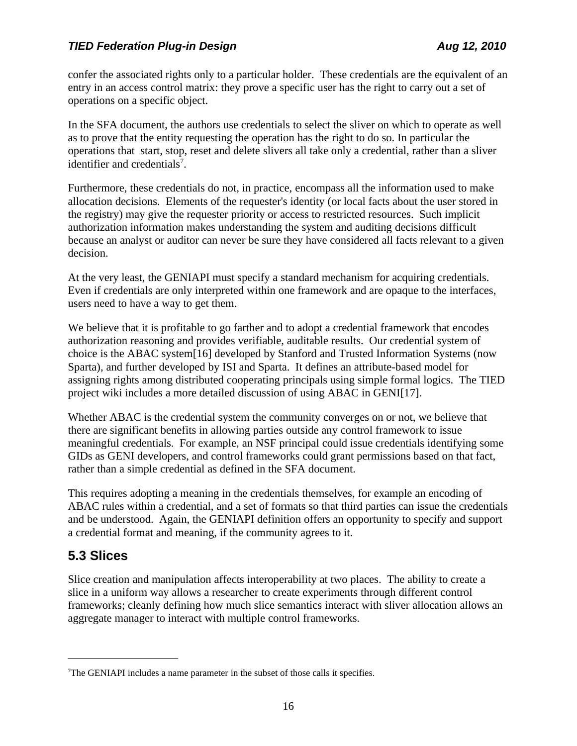confer the associated rights only to a particular holder. These credentials are the equivalent of an entry in an access control matrix: they prove a specific user has the right to carry out a set of operations on a specific object.

In the SFA document, the authors use credentials to select the sliver on which to operate as well as to prove that the entity requesting the operation has the right to do so. In particular the operations that start, stop, reset and delete slivers all take only a credential, rather than a sliver identifier and credentials<sup>[7](#page-15-1)</sup>.

Furthermore, these credentials do not, in practice, encompass all the information used to make allocation decisions. Elements of the requester's identity (or local facts about the user stored in the registry) may give the requester priority or access to restricted resources. Such implicit authorization information makes understanding the system and auditing decisions difficult because an analyst or auditor can never be sure they have considered all facts relevant to a given decision.

At the very least, the GENIAPI must specify a standard mechanism for acquiring credentials. Even if credentials are only interpreted within one framework and are opaque to the interfaces, users need to have a way to get them.

We believe that it is profitable to go farther and to adopt a credential framework that encodes authorization reasoning and provides verifiable, auditable results. Our credential system of choice is the ABAC syste[m\[16\]](#page-19-1) developed by Stanford and Trusted Information Systems (now Sparta), and further developed by ISI and Sparta. It defines an attribute-based model for assigning rights among distributed cooperating principals using simple formal logics. The TIED project wiki includes a more detailed discussion of using ABAC in GEN[I\[17\].](#page-19-0)

Whether ABAC is the credential system the community converges on or not, we believe that there are significant benefits in allowing parties outside any control framework to issue meaningful credentials. For example, an NSF principal could issue credentials identifying some GIDs as GENI developers, and control frameworks could grant permissions based on that fact, rather than a simple credential as defined in the SFA document.

This requires adopting a meaning in the credentials themselves, for example an encoding of ABAC rules within a credential, and a set of formats so that third parties can issue the credentials and be understood. Again, the GENIAPI definition offers an opportunity to specify and support a credential format and meaning, if the community agrees to it.

## <span id="page-15-0"></span>**5.3 Slices**

Slice creation and manipulation affects interoperability at two places. The ability to create a slice in a uniform way allows a researcher to create experiments through different control frameworks; cleanly defining how much slice semantics interact with sliver allocation allows an aggregate manager to interact with multiple control frameworks.

<span id="page-15-1"></span><sup>&</sup>lt;sup>7</sup>The GENIAPI includes a name parameter in the subset of those calls it specifies.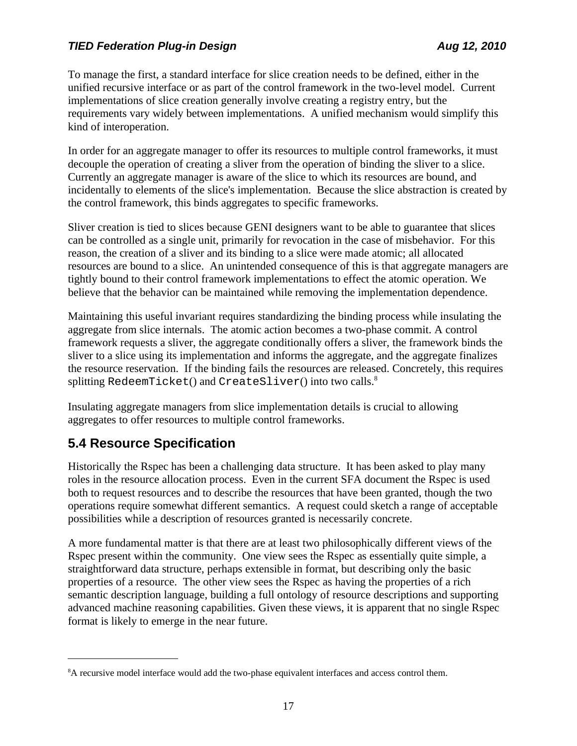To manage the first, a standard interface for slice creation needs to be defined, either in the unified recursive interface or as part of the control framework in the two-level model. Current implementations of slice creation generally involve creating a registry entry, but the requirements vary widely between implementations. A unified mechanism would simplify this kind of interoperation.

In order for an aggregate manager to offer its resources to multiple control frameworks, it must decouple the operation of creating a sliver from the operation of binding the sliver to a slice. Currently an aggregate manager is aware of the slice to which its resources are bound, and incidentally to elements of the slice's implementation. Because the slice abstraction is created by the control framework, this binds aggregates to specific frameworks.

Sliver creation is tied to slices because GENI designers want to be able to guarantee that slices can be controlled as a single unit, primarily for revocation in the case of misbehavior. For this reason, the creation of a sliver and its binding to a slice were made atomic; all allocated resources are bound to a slice. An unintended consequence of this is that aggregate managers are tightly bound to their control framework implementations to effect the atomic operation. We believe that the behavior can be maintained while removing the implementation dependence.

Maintaining this useful invariant requires standardizing the binding process while insulating the aggregate from slice internals. The atomic action becomes a two-phase commit. A control framework requests a sliver, the aggregate conditionally offers a sliver, the framework binds the sliver to a slice using its implementation and informs the aggregate, and the aggregate finalizes the resource reservation. If the binding fails the resources are released. Concretely, this requires splitting RedeemTicket() and CreateSliver() into two calls.<sup>[8](#page-16-0)</sup>

Insulating aggregate managers from slice implementation details is crucial to allowing aggregates to offer resources to multiple control frameworks.

## **5.4 Resource Specification**

Historically the Rspec has been a challenging data structure. It has been asked to play many roles in the resource allocation process. Even in the current SFA document the Rspec is used both to request resources and to describe the resources that have been granted, though the two operations require somewhat different semantics. A request could sketch a range of acceptable possibilities while a description of resources granted is necessarily concrete.

A more fundamental matter is that there are at least two philosophically different views of the Rspec present within the community. One view sees the Rspec as essentially quite simple, a straightforward data structure, perhaps extensible in format, but describing only the basic properties of a resource. The other view sees the Rspec as having the properties of a rich semantic description language, building a full ontology of resource descriptions and supporting advanced machine reasoning capabilities. Given these views, it is apparent that no single Rspec format is likely to emerge in the near future.

<span id="page-16-0"></span><sup>&</sup>lt;sup>8</sup>A recursive model interface would add the two-phase equivalent interfaces and access control them.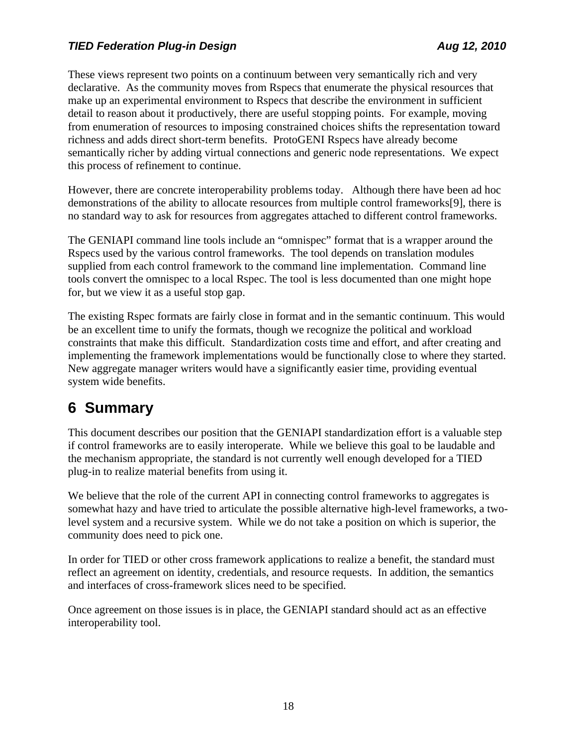These views represent two points on a continuum between very semantically rich and very declarative. As the community moves from Rspecs that enumerate the physical resources that make up an experimental environment to Rspecs that describe the environment in sufficient detail to reason about it productively, there are useful stopping points. For example, moving from enumeration of resources to imposing constrained choices shifts the representation toward richness and adds direct short-term benefits. ProtoGENI Rspecs have already become semantically richer by adding virtual connections and generic node representations. We expect this process of refinement to continue.

However, there are concrete interoperability problems today. Although there have been ad hoc demonstrations of the ability to allocate resources from multiple control framework[s\[9\],](#page-18-1) there is no standard way to ask for resources from aggregates attached to different control frameworks.

The GENIAPI command line tools include an "omnispec" format that is a wrapper around the Rspecs used by the various control frameworks. The tool depends on translation modules supplied from each control framework to the command line implementation. Command line tools convert the omnispec to a local Rspec. The tool is less documented than one might hope for, but we view it as a useful stop gap.

The existing Rspec formats are fairly close in format and in the semantic continuum. This would be an excellent time to unify the formats, though we recognize the political and workload constraints that make this difficult. Standardization costs time and effort, and after creating and implementing the framework implementations would be functionally close to where they started. New aggregate manager writers would have a significantly easier time, providing eventual system wide benefits.

# **6 Summary**

This document describes our position that the GENIAPI standardization effort is a valuable step if control frameworks are to easily interoperate. While we believe this goal to be laudable and the mechanism appropriate, the standard is not currently well enough developed for a TIED plug-in to realize material benefits from using it.

We believe that the role of the current API in connecting control frameworks to aggregates is somewhat hazy and have tried to articulate the possible alternative high-level frameworks, a twolevel system and a recursive system. While we do not take a position on which is superior, the community does need to pick one.

In order for TIED or other cross framework applications to realize a benefit, the standard must reflect an agreement on identity, credentials, and resource requests. In addition, the semantics and interfaces of cross-framework slices need to be specified.

Once agreement on those issues is in place, the GENIAPI standard should act as an effective interoperability tool.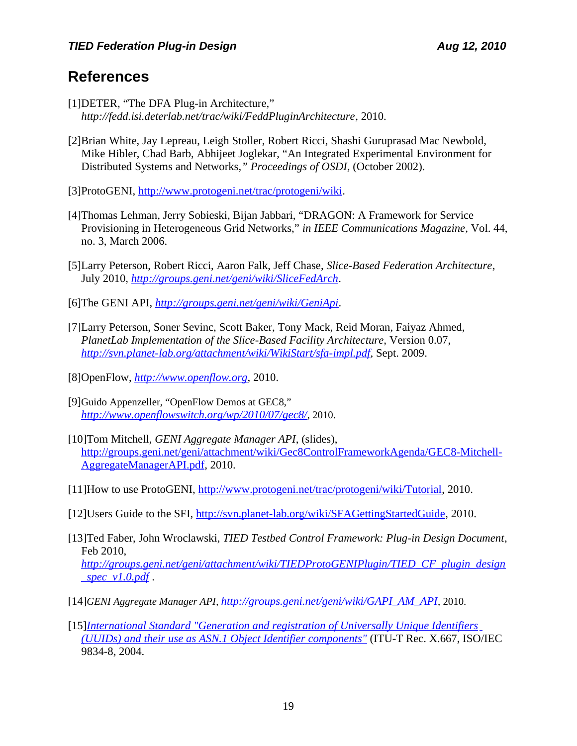# **References**

- <span id="page-18-0"></span>[1]DETER, "The DFA Plug-in Architecture," *<http://fedd.isi.deterlab.net/trac/wiki/FeddPluginArchitecture>*, 2010.
- <span id="page-18-8"></span>[2]Brian White, Jay Lepreau, Leigh Stoller, Robert Ricci, Shashi Guruprasad Mac Newbold, Mike Hibler, Chad Barb, Abhijeet Joglekar, "An Integrated Experimental Environment for Distributed Systems and Networks*," Proceedings of OSDI,* (October 2002).
- <span id="page-18-4"></span>[3]ProtoGENI, [http://www.protogeni.net/trac/protogeni/wiki.](http://www.protogeni.net/trac/protogeni/wiki)
- <span id="page-18-7"></span>[4]Thomas Lehman, Jerry Sobieski, Bijan Jabbari, "DRAGON: A Framework for Service Provisioning in Heterogeneous Grid Networks," *in IEEE Communications Magazine,* Vol. 44, no. 3, March 2006.
- <span id="page-18-6"></span>[5]Larry Peterson, Robert Ricci, Aaron Falk, Jeff Chase, *Slice-Based Federation Architecture*, July 2010, *<http://groups.geni.net/geni/wiki/SliceFedArch>*.
- <span id="page-18-5"></span>[6]The GENI API, *<http://groups.geni.net/geni/wiki/GeniApi>*.
- <span id="page-18-3"></span>[7]Larry Peterson, Soner Sevinc, Scott Baker, Tony Mack, Reid Moran, Faiyaz Ahmed, *PlanetLab Implementation of the Slice-Based Facility Architecture,* Version 0.07, *<http://svn.planet-lab.org/attachment/wiki/WikiStart/sfa-impl.pdf>*, Sept. 2009.
- <span id="page-18-2"></span>[8]OpenFlow, *[http://www.openflow.org](http://www.openflow.org/)*, 2010.
- <span id="page-18-1"></span>[9]Guido Appenzeller, "OpenFlow Demos at GEC8," *<http://www.openflowswitch.org/wp/2010/07/gec8/>*, 2010.
- <span id="page-18-9"></span>[10]Tom Mitchell, *GENI Aggregate Manager API*, (slides), [http://groups.geni.net/geni/attachment/wiki/Gec8ControlFrameworkAgenda/GEC8-Mitchell-](http://groups.geni.net/geni/attachment/wiki/Gec8ControlFrameworkAgenda/GEC8-Mitchell-AggregateManagerAPI.pdf)[AggregateManagerAPI.pdf,](http://groups.geni.net/geni/attachment/wiki/Gec8ControlFrameworkAgenda/GEC8-Mitchell-AggregateManagerAPI.pdf) 2010.
- <span id="page-18-11"></span>[11]How to use ProtoGENI, [http://www.protogeni.net/trac/protogeni/wiki/Tutorial,](http://www.protogeni.net/trac/protogeni/wiki/Tutorial) 2010.
- <span id="page-18-10"></span>[12]Users Guide to the SFI, [http://svn.planet-lab.org/wiki/SFAGettingStartedGuide,](http://svn.planet-lab.org/wiki/SFAGettingStartedGuide) 2010.
- <span id="page-18-12"></span>[13]Ted Faber, John Wroclawski, *TIED Testbed Control Framework: Plug-in Design Document*, Feb 2010, *[http://groups.geni.net/geni/attachment/wiki/TIEDProtoGENIPlugin/TIED\\_CF\\_plugin\\_design](http://groups.geni.net/geni/attachment/wiki/TIEDProtoGENIPlugin/TIED_CF_plugin_design_spec_v1.0.pdf) [\\_spec\\_v1.0.pdf](http://groups.geni.net/geni/attachment/wiki/TIEDProtoGENIPlugin/TIED_CF_plugin_design_spec_v1.0.pdf)* .
- <span id="page-18-14"></span>[14]*GENI Aggregate Manager API*, *[http://groups.geni.net/geni/wiki/GAPI\\_AM\\_API](http://groups.geni.net/geni/wiki/GAPI_AM_API)*, 2010.
- <span id="page-18-13"></span>[15] *[International Standard "Generation and registration of Universally Unique Identifiers](http://www.itu.int/ITU-T/studygroups/com17/oid.html) [\(UUIDs\) and their use as ASN.1 Object Identifier components"](http://www.itu.int/ITU-T/studygroups/com17/oid.html)* (ITU-T Rec. X.667, ISO/IEC 9834-8, 2004.